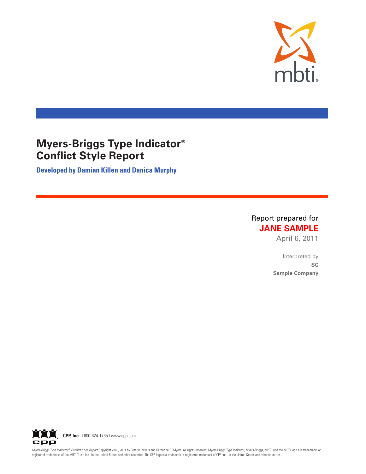

# **Myers-Briggs Type Indicator® Conflict Style Report**

**Developed by Damian Killen and Danica Murphy**

Report prepared for **JANE SAMPLE** 

April 6, 2011

Interpreted by **6\$ Sample Company** 



Myers-Briggs Type Indicator® Conflict Style Report Copyright 2003, 2011 by Peter B. Myers and Katharine D. Myers. All rights reserved. Myers-Briggs Type Indicator, Myers-Briggs, Type Indicator, Myers-Briggs, MBTI, and the registered trademarks of the MBTI Trust, Inc., in the United States and other countries. The CPP logo is a trademark or registered trademark of CPP, Inc., in the United States and other countries.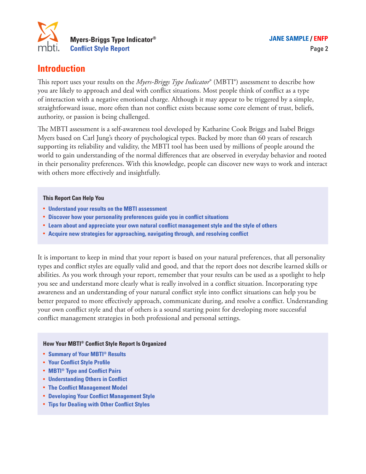

## **Introduction**

This report uses your results on the *Myers-Briggs Type Indicator*® (MBTI®) assessment to describe how you are likely to approach and deal with conflict situations. Most people think of conflict as a type of interaction with a negative emotional charge. Although it may appear to be triggered by a simple, straightforward issue, more often than not conflict exists because some core element of trust, beliefs, authority, or passion is being challenged.

The MBTI assessment is a self-awareness tool developed by Katharine Cook Briggs and Isabel Briggs Myers based on Carl Jung's theory of psychological types. Backed by more than 60 years of research supporting its reliability and validity, the MBTI tool has been used by millions of people around the world to gain understanding of the normal differences that are observed in everyday behavior and rooted in their personality preferences. With this knowledge, people can discover new ways to work and interact with others more effectively and insightfully.

#### **This Report Can Help You**

- **• Understand your results on the MBTI assessment**
- **• Discover how your personality preferences guide you in conflict situations**
- **• Learn about and appreciate your own natural conflict management style and the style of others**
- **• Acquire new strategies for approaching, navigating through, and resolving conflict**

It is important to keep in mind that your report is based on your natural preferences, that all personality types and conflict styles are equally valid and good, and that the report does not describe learned skills or abilities. As you work through your report, remember that your results can be used as a spotlight to help you see and understand more clearly what is really involved in a conflict situation. Incorporating type awareness and an understanding of your natural conflict style into conflict situations can help you be better prepared to more effectively approach, communicate during, and resolve a conflict. Understanding your own conflict style and that of others is a sound starting point for developing more successful conflict management strategies in both professional and personal settings.

#### **How Your MBTI® Conflict Style Report Is Organized**

- **• Summary of Your MBTI® Results**
- **• Your Conflict Style Profile**
- **• MBTI® Type and Conflict Pairs**
- **• Understanding Others in Conflict**
- **• The Conflict Management Model**
- **• Developing Your Conflict Management Style**
- **• Tips for Dealing with Other Conflict Styles**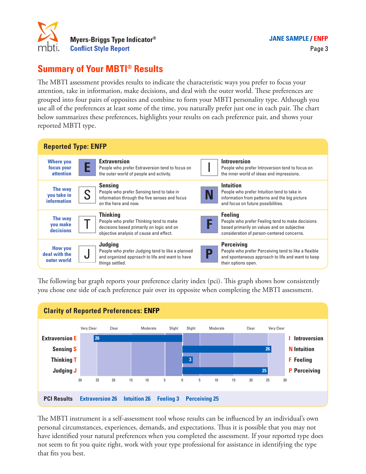

#### Page 3

## **Summary of Your MBTI® Results**

The MBTI assessment provides results to indicate the characteristic ways you prefer to focus your attention, take in information, make decisions, and deal with the outer world. These preferences are grouped into four pairs of opposites and combine to form your MBTI personality type. Although you use all of the preferences at least some of the time, you naturally prefer just one in each pair. The chart below summarizes these preferences, highlights your results on each preference pair, and shows your reported MBTI type.



The following bar graph reports your preference clarity index (pci). This graph shows how consistently you chose one side of each preference pair over its opposite when completing the MBTI assessment.



The MBTI instrument is a self-assessment tool whose results can be influenced by an individual's own personal circumstances, experiences, demands, and expectations. Thus it is possible that you may not have identified your natural preferences when you completed the assessment. If your reported type does not seem to fit you quite right, work with your type professional for assistance in identifying the type that fits you best.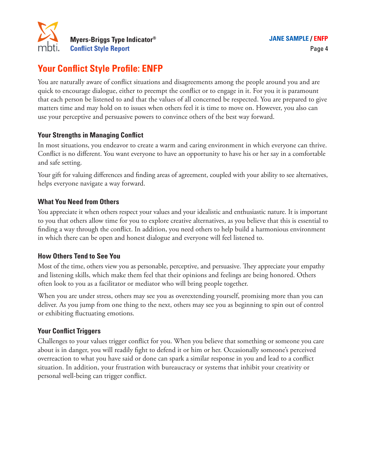

## **Your Conflict Style Profile: ENFP**

You are naturally aware of conflict situations and disagreements among the people around you and are quick to encourage dialogue, either to preempt the conflict or to engage in it. For you it is paramount that each person be listened to and that the values of all concerned be respected. You are prepared to give matters time and may hold on to issues when others feel it is time to move on. However, you also can use your perceptive and persuasive powers to convince others of the best way forward.

### **Your Strengths in Managing Conflict**

In most situations, you endeavor to create a warm and caring environment in which everyone can thrive. Conflict is no different. You want everyone to have an opportunity to have his or her say in a comfortable and safe setting.

Your gift for valuing differences and finding areas of agreement, coupled with your ability to see alternatives, helps everyone navigate a way forward.

### **What You Need from Others**

You appreciate it when others respect your values and your idealistic and enthusiastic nature. It is important to you that others allow time for you to explore creative alternatives, as you believe that this is essential to finding a way through the conflict. In addition, you need others to help build a harmonious environment in which there can be open and honest dialogue and everyone will feel listened to.

## **How Others Tend to See You**

Most of the time, others view you as personable, perceptive, and persuasive. They appreciate your empathy and listening skills, which make them feel that their opinions and feelings are being honored. Others often look to you as a facilitator or mediator who will bring people together.

When you are under stress, others may see you as overextending yourself, promising more than you can deliver. As you jump from one thing to the next, others may see you as beginning to spin out of control or exhibiting fluctuating emotions.

## **Your Conflict Triggers**

Challenges to your values trigger conflict for you. When you believe that something or someone you care about is in danger, you will readily fight to defend it or him or her. Occasionally someone's perceived overreaction to what you have said or done can spark a similar response in you and lead to a conflict situation. In addition, your frustration with bureaucracy or systems that inhibit your creativity or personal well-being can trigger conflict.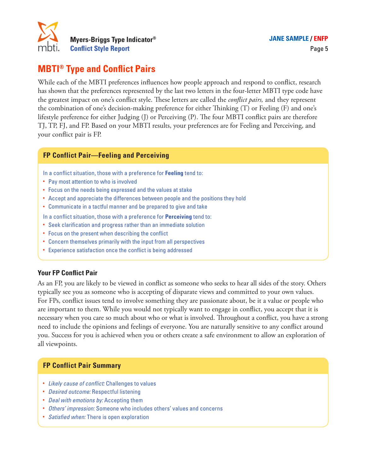

## **MBTI® Type and Conflict Pairs**

While each of the MBTI preferences influences how people approach and respond to conflict, research has shown that the preferences represented by the last two letters in the four-letter MBTI type code have the greatest impact on one's conflict style. These letters are called the *conflict pairs,* and they represent the combination of one's decision-making preference for either Thinking (T) or Feeling (F) and one's lifestyle preference for either Judging (J) or Perceiving (P). The four MBTI conflict pairs are therefore TJ, TP, FJ, and FP. Based on your MBTI results, your preferences are for Feeling and Perceiving, and your conflict pair is FP.

### **FP Conflict Pair—Feeling and Perceiving**

In a conflict situation, those with a preference for **Feeling** tend to:

- Pay most attention to who is involved
- Focus on the needs being expressed and the values at stake
- Accept and appreciate the differences between people and the positions they hold
- • Communicate in a tactful manner and be prepared to give and take
- In a conflict situation, those with a preference for **Perceiving** tend to:
- Seek clarification and progress rather than an immediate solution
- Focus on the present when describing the conflict
- Concern themselves primarily with the input from all perspectives
- Experience satisfaction once the conflict is being addressed

#### **Your FP Conflict Pair**

As an FP, you are likely to be viewed in conflict as someone who seeks to hear all sides of the story. Others typically see you as someone who is accepting of disparate views and committed to your own values. For FPs, conflict issues tend to involve something they are passionate about, be it a value or people who are important to them. While you would not typically want to engage in conflict, you accept that it is necessary when you care so much about who or what is involved. Throughout a conflict, you have a strong need to include the opinions and feelings of everyone. You are naturally sensitive to any conflict around you. Success for you is achieved when you or others create a safe environment to allow an exploration of all viewpoints.

#### **FP Conflict Pair Summary**

- *Likely cause of conflict:* Challenges to values
- *Desired outcome:* Respectful listening
- *Deal with emotions by:* Accepting them
- *Others' impression:* Someone who includes others' values and concerns
- *Satisfied when:* There is open exploration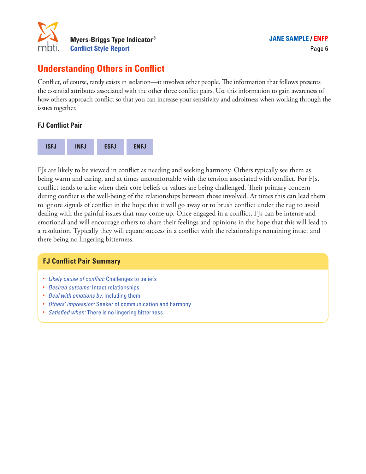

## **Understanding Others in Conflict**

Conflict, of course, rarely exists in isolation—it involves other people. The information that follows presents the essential attributes associated with the other three conflict pairs. Use this information to gain awareness of how others approach conflict so that you can increase your sensitivity and adroitness when working through the issues together.

## **FJ Conflict Pair**



FJs are likely to be viewed in conflict as needing and seeking harmony. Others typically see them as being warm and caring, and at times uncomfortable with the tension associated with conflict. For FJs, conflict tends to arise when their core beliefs or values are being challenged. Their primary concern during conflict is the well-being of the relationships between those involved. At times this can lead them to ignore signals of conflict in the hope that it will go away or to brush conflict under the rug to avoid dealing with the painful issues that may come up. Once engaged in a conflict, FJs can be intense and emotional and will encourage others to share their feelings and opinions in the hope that this will lead to a resolution. Typically they will equate success in a conflict with the relationships remaining intact and there being no lingering bitterness.

#### **FJ Conflict Pair Summary**

- *Likely cause of conflict:* Challenges to beliefs
- *Desired outcome:* Intact relationships
- *Deal with emotions by:* Including them
- *Others' impression:* Seeker of communication and harmony
- *Satisfied when:* There is no lingering bitterness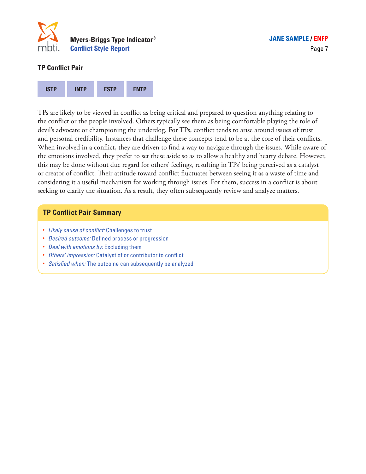

#### **TP Conflict Pair**



TPs are likely to be viewed in conflict as being critical and prepared to question anything relating to the conflict or the people involved. Others typically see them as being comfortable playing the role of devil's advocate or championing the underdog. For TPs, conflict tends to arise around issues of trust and personal credibility. Instances that challenge these concepts tend to be at the core of their conflicts. When involved in a conflict, they are driven to find a way to navigate through the issues. While aware of the emotions involved, they prefer to set these aside so as to allow a healthy and hearty debate. However, this may be done without due regard for others' feelings, resulting in TPs' being perceived as a catalyst or creator of conflict. Their attitude toward conflict fluctuates between seeing it as a waste of time and considering it a useful mechanism for working through issues. For them, success in a conflict is about seeking to clarify the situation. As a result, they often subsequently review and analyze matters.

#### **TP Conflict Pair Summary**

- *Likely cause of conflict:* Challenges to trust
- *Desired outcome:* Defined process or progression
- *Deal with emotions by:* Excluding them
- *Others' impression:* Catalyst of or contributor to conflict
- *Satisfied when:* The outcome can subsequently be analyzed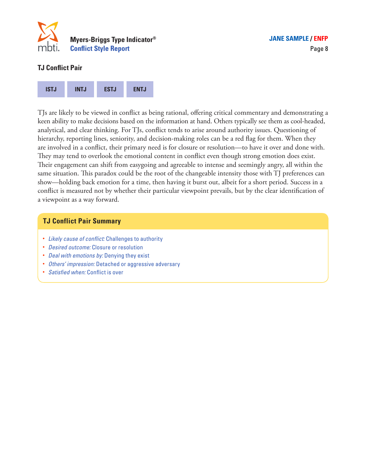

### **TJ Conflict Pair**



TJs are likely to be viewed in conflict as being rational, offering critical commentary and demonstrating a keen ability to make decisions based on the information at hand. Others typically see them as cool-headed, analytical, and clear thinking. For TJs, conflict tends to arise around authority issues. Questioning of hierarchy, reporting lines, seniority, and decision-making roles can be a red flag for them. When they are involved in a conflict, their primary need is for closure or resolution—to have it over and done with. They may tend to overlook the emotional content in conflict even though strong emotion does exist. Their engagement can shift from easygoing and agreeable to intense and seemingly angry, all within the same situation. This paradox could be the root of the changeable intensity those with TJ preferences can show—holding back emotion for a time, then having it burst out, albeit for a short period. Success in a conflict is measured not by whether their particular viewpoint prevails, but by the clear identification of a viewpoint as a way forward.

#### **TJ Conflict Pair Summary**

- *Likely cause of conflict:* Challenges to authority
- *Desired outcome:* Closure or resolution
- *Deal with emotions by:* Denying they exist
- *Others' impression:* Detached or aggressive adversary
- *Satisfied when:* Conflict is over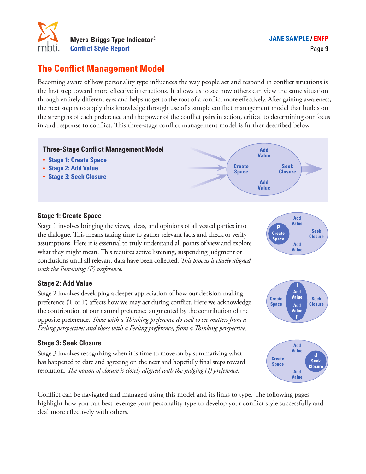

## **The Conflict Management Model**

Becoming aware of how personality type influences the way people act and respond in conflict situations is the first step toward more effective interactions. It allows us to see how others can view the same situation through entirely different eyes and helps us get to the root of a conflict more effectively. After gaining awareness, the next step is to apply this knowledge through use of a simple conflict management model that builds on the strengths of each preference and the power of the conflict pairs in action, critical to determining our focus in and response to conflict. This three-stage conflict management model is further described below.



### **Stage 1: Create Space**

Stage 1 involves bringing the views, ideas, and opinions of all vested parties into the dialogue. This means taking time to gather relevant facts and check or verify assumptions. Here it is essential to truly understand all points of view and explore what they might mean. This requires active listening, suspending judgment or conclusions until all relevant data have been collected. *This process is closely aligned with the Perceiving (P) preference.* 

## **Stage 2: Add Value**

Stage 2 involves developing a deeper appreciation of how our decision-making preference (T or F) affects how we may act during conflict. Here we acknowledge the contribution of our natural preference augmented by the contribution of the opposite preference. *Those with a Thinking preference do well to see matters from a Feeling perspective; and those with a Feeling preference, from a Thinking perspective.* 

#### **Stage 3: Seek Closure**

Stage 3 involves recognizing when it is time to move on by summarizing what has happened to date and agreeing on the next and hopefully final steps toward resolution. *The notion of closure is closely aligned with the Judging (J) preference.*







Conflict can be navigated and managed using this model and its links to type. The following pages highlight how you can best leverage your personality type to develop your conflict style successfully and deal more effectively with others.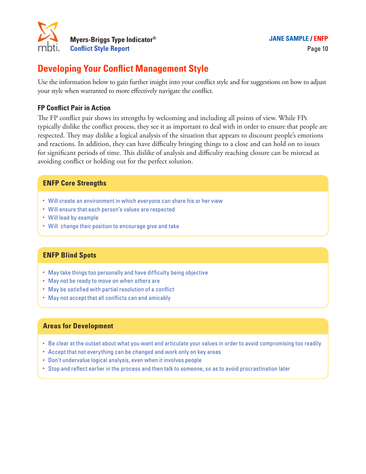

## **Developing Your Conflict Management Style**

Use the information below to gain further insight into your conflict style and for suggestions on how to adjust your style when warranted to more effectively navigate the conflict.

#### **FP Conflict Pair in Action**

The FP conflict pair shows its strengths by welcoming and including all points of view. While FPs typically dislike the conflict process, they see it as important to deal with in order to ensure that people are respected. They may dislike a logical analysis of the situation that appears to discount people's emotions and reactions. In addition, they can have difficulty bringing things to a close and can hold on to issues for significant periods of time. This dislike of analysis and difficulty reaching closure can be misread as avoiding conflict or holding out for the perfect solution.

#### **ENFP Core Strengths**

- Will create an environment in which everyone can share his or her view
- Will ensure that each person's values are respected
- Will lead by example
- Will change their position to encourage give and take

#### **ENFP Blind Spots**

- May take things too personally and have difficulty being objective
- May not be ready to move on when others are
- May be satisfied with partial resolution of a conflict
- May not accept that all conflicts can end amicably

#### **Areas for Development**

- Be clear at the outset about what you want and articulate your values in order to avoid compromising too readily
- Accept that not everything can be changed and work only on key areas
- Don't undervalue logical analysis, even when it involves people
- Stop and reflect earlier in the process and then talk to someone, so as to avoid procrastination later